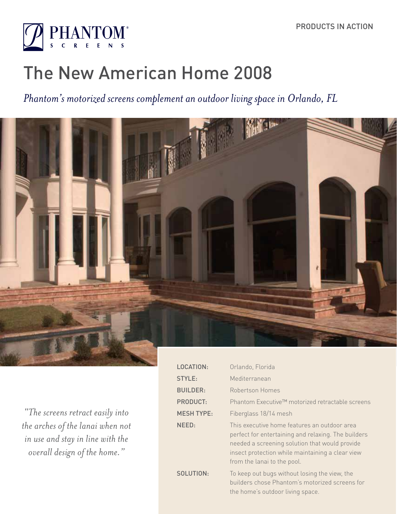

# The New American Home 2008

# *Phantom's motorized screens complement an outdoor living space in Orlando, FL*



*"The screens retract easily into the arches of the lanai when not in use and stay in line with the overall design of the home."*

| LOCATION:         | Orlando, Florida                                                                                                                                                                                                                         |
|-------------------|------------------------------------------------------------------------------------------------------------------------------------------------------------------------------------------------------------------------------------------|
| STYLE:            | Mediterranean                                                                                                                                                                                                                            |
| <b>BUILDER:</b>   | Robertson Homes                                                                                                                                                                                                                          |
| <b>PRODUCT:</b>   | Phantom Executive™ motorized retractable screens                                                                                                                                                                                         |
| <b>MESH TYPE:</b> | Fiberglass 18/14 mesh                                                                                                                                                                                                                    |
| NEED:             | This executive home features an outdoor area<br>perfect for entertaining and relaxing. The builders<br>needed a screening solution that would provide<br>insect protection while maintaining a clear view<br>from the lanai to the pool. |
| SOLUTION:         | To keep out bugs without losing the view, the<br>builders chose Phantom's motorized screens for<br>the home's outdoor living space.                                                                                                      |